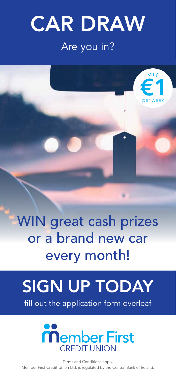## CAR DRAW Are you in?

only

 $\epsilon$ 1

per week



# SIGN UP TODAY

fill out the application form overleaf



Terms and Conditions apply. Member First Credit Union Ltd. is regulated by the Central Bank of Ireland.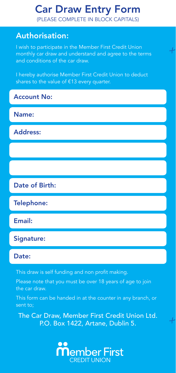## Car Draw Entry Form

(PLEASE COMPLETE IN BLOCK CAPITALS)

### Authorisation:

I wish to participate in the Member First Credit Union monthly car draw and understand and agree to the terms and conditions of the car draw.

 $-\frac{1}{6}$ 

 $-\frac{1}{6}$ 

I hereby authorise Member First Credit Union to deduct shares to the value of €13 every quarter.

Account No:

Name:

Address:

Date of Birth:

Telephone:

Email:

Signature:

### Date:

This draw is self funding and non profit making.

Please note that you must be over 18 years of age to join the car draw.

This form can be handed in at the counter in any branch, or sent to;

The Car Draw, Member First Credit Union Ltd. P.O. Box 1422, Artane, Dublin 5.

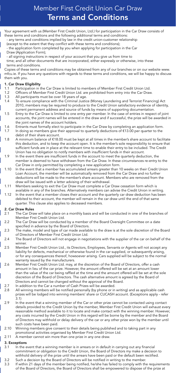### Member First Credit Union Car Draw Terms and Conditions

- Your agreement with us (Member First Credit Union, Ltd.) for participation in the Car Draw consists of these terms and conditions and the following additional terms and conditions:
- any terms and conditions implied by law in the credit union-customer relationship
- (except to the extent that they conflict with these terms and conditions);
- the application form completed by you when applying for participation in the Car Draw (Application Form);
- all signing instructions in respect of your account that you give us from time to
- time; and all other documents that are incorporated, either expressly or otherwise, into these terms and conditions.

Copies of these terms and conditions may be obtained from any of our branches or on our website www. mfcu.ie. If you have any questions with regards to these terms and conditions, we will be happy to discuss them with you.

### 1. Car Draw Eligibility

- 1.1 Participation in the Car Draw is limited to members of Member First Credit Union Ltd.
- 1.2 Officers of Member First Credit Union Ltd. are prohibited from entry into the Car Draw.
- 1.3 All participants must be over 18 years of age.
- 1.4 To ensure compliance with the Criminal Justice (Money Laundering and Terrorist Financing) Act 2010, members may be required to produce to the Credit Union satisfactory evidence of identity, current permanent address and source of funds by means of supporting documentation.
- 1.5 Entry to the Car Draw is limited to one entry per member. In the case of entries in respect of joint accounts, the joint names will be entered in the draw and if successful, the prize will be awarded in the joint names of the account holders.
- 1.6 Entrants must formally elect to participate in the Car Draw by completing an application form.
- 1.7 In doing so members give their approval to quarterly deductions of €13.00 per quarter to the debit of their share account.
- 1.8 A minimum balance of €18.00 must be kept at all times in the member's share account to facilitate this deduction, and to keep the account open. It is the member's sole responsibility to ensure that sufficient funds are in place at the relevant time to enable their entry to be included. The Credit Union has no obligation to notify members with insufficient funds in their account.
- 1.9 In the event there are insufficient funds in the account to meet the quarterly deduction, the member is deemed to have withdrawn from the Car Draw. In these circumstances re-entry to the Car Draw in only permitted by completing a new application form.
- 1.10 In the event that a member has accumulated arrears greater than 10 weeks on their Credit Union Loan Account, the member will be automatically removed from the Car Draw and no further deductions will be made to the member's share account. Members who are removed from the draw will be issued with a letter advising of their withdrawal.
- 1.11 Members seeking to exit the Car Draw must complete a Car Draw cessation form which is available in any of the branches. Alternatively members can advise the Credit Union in writing.
- 1.12 In the event that a member closes their account and the quarterly car draw deduction has been debited to their account, the member will remain in the car draw until the end of that same quarter. This clause also applies to deceased members.

### 2. Car Draw Rules

- 2.1 The Car Draw will take place on a monthly basis and will be conducted in one of the branches of Member First Credit Union Ltd.
- $2.2$ The Car Draw will be conducted by a member of the Board Oversight Committee on a date specified in advance by the Board of Directors.
- 2.3 The make, model and type of car made available to the draw is at the sole discretion of the Board of Directors of Member First Credit Union Ltd.
- 2.4 The Board of Directors will not engage in negotiations with the supplier of the car on behalf of the winner.
- 2.5 Member First Credit Union Ltd., its Directors, Employees, Servants or Agents will not accept any liability for defects, mechanical or otherwise found in the car supplied, or subsequently arising, or for any consequences thereof, howsoever arising. Cars supplied will be subject to the normal warranty issued by the manufacturers.
- 2.6 Member First Credit Union Ltd. may, at the discretion of the Board of Directors, offer a cash amount in lieu of the car prize. However, the amount offered will be set at an amount lower than the value of the car being raffled at the time and the amount offered will be set at the sole discretion of the Board of Directors. The cash alternative amount is agreed by the Board of Directors and cannot be changed without the approval of the Board.
- 2.7 In addition to the Car a number of Cash Prizes will be awarded.
- 2.8 All winning members will be notified personally (by phone or in writing) and as applicable cash prizes will be lodged into winning members' share or CUCASH account. (Exceptions apply - refer  $3.1)$
- 2.9 In the event that a winning member of the Car or other prize cannot be contacted using contact details provided to the Credit Union by the member, Member First Credit Union will exhaust every reasonable method available to it to locate and make contact with the winning member. However, any costs incurred by the Credit Union in this regard will be borne by the member and the Board of Directors may withhold or delay delivery of the car or any other prize won by the member until such costs have been paid.
- 2.10 Winning members give consent to their details being published and to taking part in any promotional activities organised by Member First Credit Union Ltd.
- 2.11 A member cannot win more than one prize in any one draw.

### 3. Exceptions

- 3.1 In the event that a winning member is in arrears or in default in carrying out any financial commitment or obligation to the Credit Union, the Board of Directors my make a decision to withhold delivery of the prize until the arrears have been paid or the default been rectified.
- 3.2 Such a decision by the Board of Directors will be notified in writing to the member.
- 3.3 If within 21 days of the member being notified, he/she has failed to comply with the requirements of the Board of Directors, the Board of Directors shall be empowered to dispose of the prize at